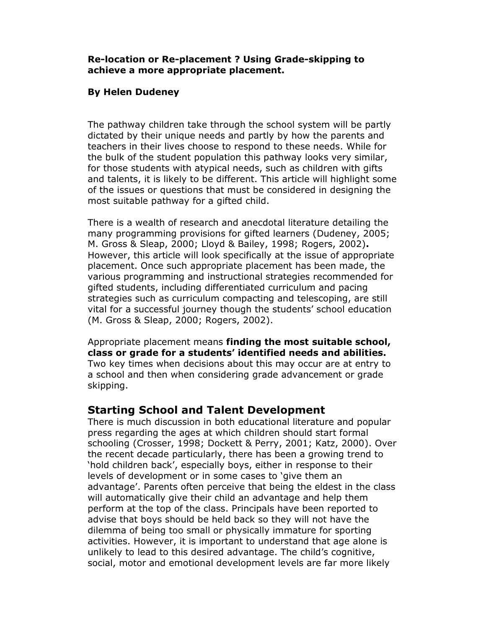#### Re-location or Re-placement ? Using Grade-skipping to achieve a more appropriate placement.

#### By Helen Dudeney

The pathway children take through the school system will be partly dictated by their unique needs and partly by how the parents and teachers in their lives choose to respond to these needs. While for the bulk of the student population this pathway looks very similar, for those students with atypical needs, such as children with gifts and talents, it is likely to be different. This article will highlight some of the issues or questions that must be considered in designing the most suitable pathway for a gifted child.

There is a wealth of research and anecdotal literature detailing the many programming provisions for gifted learners (Dudeney, 2005; M. Gross & Sleap, 2000; Lloyd & Bailey, 1998; Rogers, 2002). However, this article will look specifically at the issue of appropriate placement. Once such appropriate placement has been made, the various programming and instructional strategies recommended for gifted students, including differentiated curriculum and pacing strategies such as curriculum compacting and telescoping, are still vital for a successful journey though the students' school education (M. Gross & Sleap, 2000; Rogers, 2002).

Appropriate placement means finding the most suitable school, class or grade for a students' identified needs and abilities. Two key times when decisions about this may occur are at entry to a school and then when considering grade advancement or grade skipping.

# Starting School and Talent Development

There is much discussion in both educational literature and popular press regarding the ages at which children should start formal schooling (Crosser, 1998; Dockett & Perry, 2001; Katz, 2000). Over the recent decade particularly, there has been a growing trend to 'hold children back', especially boys, either in response to their levels of development or in some cases to 'give them an advantage'. Parents often perceive that being the eldest in the class will automatically give their child an advantage and help them perform at the top of the class. Principals have been reported to advise that boys should be held back so they will not have the dilemma of being too small or physically immature for sporting activities. However, it is important to understand that age alone is unlikely to lead to this desired advantage. The child's cognitive, social, motor and emotional development levels are far more likely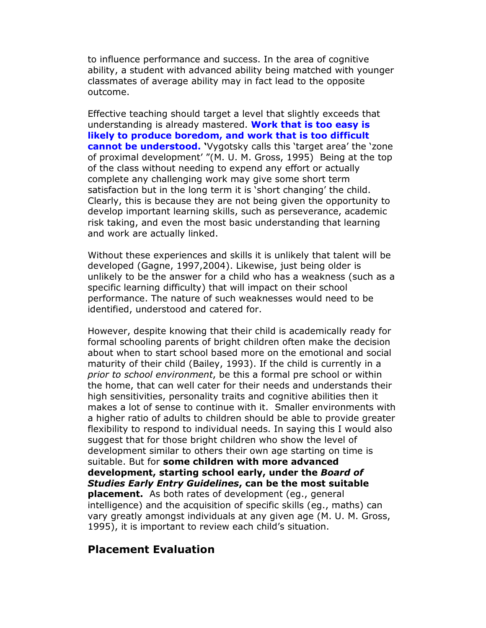to influence performance and success. In the area of cognitive ability, a student with advanced ability being matched with younger classmates of average ability may in fact lead to the opposite outcome.

Effective teaching should target a level that slightly exceeds that understanding is already mastered. Work that is too easy is likely to produce boredom, and work that is too difficult cannot be understood. 'Vygotsky calls this 'target area' the 'zone of proximal development' "(M. U. M. Gross, 1995) Being at the top of the class without needing to expend any effort or actually complete any challenging work may give some short term satisfaction but in the long term it is 'short changing' the child. Clearly, this is because they are not being given the opportunity to develop important learning skills, such as perseverance, academic risk taking, and even the most basic understanding that learning and work are actually linked.

Without these experiences and skills it is unlikely that talent will be developed (Gagne, 1997,2004). Likewise, just being older is unlikely to be the answer for a child who has a weakness (such as a specific learning difficulty) that will impact on their school performance. The nature of such weaknesses would need to be identified, understood and catered for.

However, despite knowing that their child is academically ready for formal schooling parents of bright children often make the decision about when to start school based more on the emotional and social maturity of their child (Bailey, 1993). If the child is currently in a prior to school environment, be this a formal pre school or within the home, that can well cater for their needs and understands their high sensitivities, personality traits and cognitive abilities then it makes a lot of sense to continue with it. Smaller environments with a higher ratio of adults to children should be able to provide greater flexibility to respond to individual needs. In saying this I would also suggest that for those bright children who show the level of development similar to others their own age starting on time is suitable. But for some children with more advanced development, starting school early, under the Board of Studies Early Entry Guidelines, can be the most suitable **placement.** As both rates of development (eq., general intelligence) and the acquisition of specific skills (eg., maths) can vary greatly amongst individuals at any given age (M. U. M. Gross, 1995), it is important to review each child's situation.

### Placement Evaluation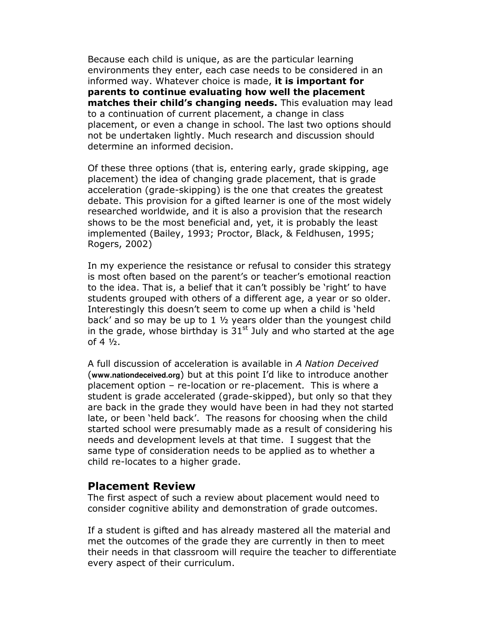Because each child is unique, as are the particular learning environments they enter, each case needs to be considered in an informed way. Whatever choice is made, it is important for parents to continue evaluating how well the placement matches their child's changing needs. This evaluation may lead to a continuation of current placement, a change in class placement, or even a change in school. The last two options should not be undertaken lightly. Much research and discussion should determine an informed decision.

Of these three options (that is, entering early, grade skipping, age placement) the idea of changing grade placement, that is grade acceleration (grade-skipping) is the one that creates the greatest debate. This provision for a gifted learner is one of the most widely researched worldwide, and it is also a provision that the research shows to be the most beneficial and, yet, it is probably the least implemented (Bailey, 1993; Proctor, Black, & Feldhusen, 1995; Rogers, 2002)

In my experience the resistance or refusal to consider this strategy is most often based on the parent's or teacher's emotional reaction to the idea. That is, a belief that it can't possibly be 'right' to have students grouped with others of a different age, a year or so older. Interestingly this doesn't seem to come up when a child is 'held back' and so may be up to 1 ½ years older than the youngest child in the grade, whose birthday is  $31<sup>st</sup>$  July and who started at the age of  $4\frac{1}{2}$ .

A full discussion of acceleration is available in A Nation Deceived (**www.nationdeceived.org**) but at this point I'd like to introduce another placement option – re-location or re-placement. This is where a student is grade accelerated (grade-skipped), but only so that they are back in the grade they would have been in had they not started late, or been 'held back'. The reasons for choosing when the child started school were presumably made as a result of considering his needs and development levels at that time. I suggest that the same type of consideration needs to be applied as to whether a child re-locates to a higher grade.

#### Placement Review

The first aspect of such a review about placement would need to consider cognitive ability and demonstration of grade outcomes.

If a student is gifted and has already mastered all the material and met the outcomes of the grade they are currently in then to meet their needs in that classroom will require the teacher to differentiate every aspect of their curriculum.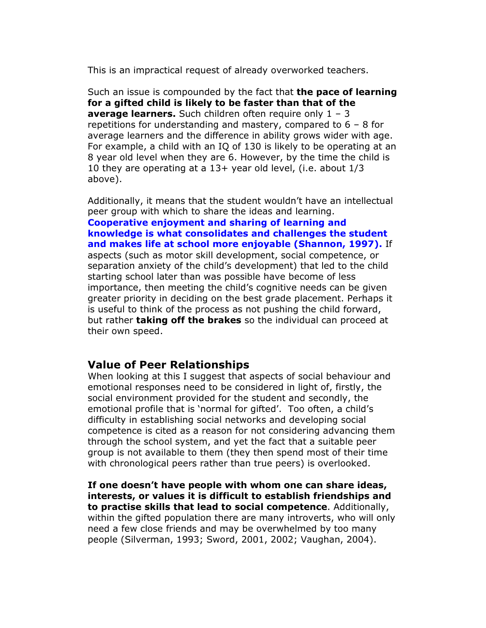This is an impractical request of already overworked teachers.

Such an issue is compounded by the fact that **the pace of learning** for a gifted child is likely to be faster than that of the average learners. Such children often require only  $1 - 3$ repetitions for understanding and mastery, compared to 6 – 8 for average learners and the difference in ability grows wider with age. For example, a child with an IQ of 130 is likely to be operating at an 8 year old level when they are 6. However, by the time the child is 10 they are operating at a 13+ year old level, (i.e. about 1/3 above).

Additionally, it means that the student wouldn't have an intellectual peer group with which to share the ideas and learning.

Cooperative enjoyment and sharing of learning and knowledge is what consolidates and challenges the student and makes life at school more enjoyable (Shannon, 1997). If aspects (such as motor skill development, social competence, or separation anxiety of the child's development) that led to the child starting school later than was possible have become of less importance, then meeting the child's cognitive needs can be given greater priority in deciding on the best grade placement. Perhaps it is useful to think of the process as not pushing the child forward, but rather **taking off the brakes** so the individual can proceed at their own speed.

#### Value of Peer Relationships

When looking at this I suggest that aspects of social behaviour and emotional responses need to be considered in light of, firstly, the social environment provided for the student and secondly, the emotional profile that is 'normal for gifted'. Too often, a child's difficulty in establishing social networks and developing social competence is cited as a reason for not considering advancing them through the school system, and yet the fact that a suitable peer group is not available to them (they then spend most of their time with chronological peers rather than true peers) is overlooked.

If one doesn't have people with whom one can share ideas, interests, or values it is difficult to establish friendships and to practise skills that lead to social competence. Additionally, within the gifted population there are many introverts, who will only need a few close friends and may be overwhelmed by too many people (Silverman, 1993; Sword, 2001, 2002; Vaughan, 2004).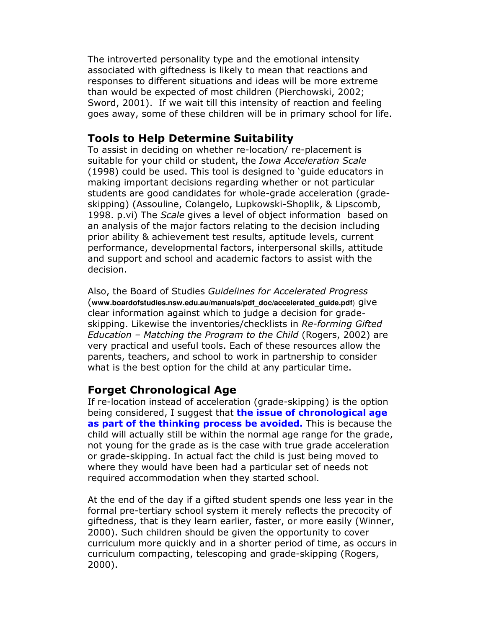The introverted personality type and the emotional intensity associated with giftedness is likely to mean that reactions and responses to different situations and ideas will be more extreme than would be expected of most children (Pierchowski, 2002; Sword, 2001). If we wait till this intensity of reaction and feeling goes away, some of these children will be in primary school for life.

# Tools to Help Determine Suitability

To assist in deciding on whether re-location/ re-placement is suitable for your child or student, the *Iowa Acceleration Scale* (1998) could be used. This tool is designed to 'guide educators in making important decisions regarding whether or not particular students are good candidates for whole-grade acceleration (gradeskipping) (Assouline, Colangelo, Lupkowski-Shoplik, & Lipscomb, 1998. p.vi) The Scale gives a level of object information based on an analysis of the major factors relating to the decision including prior ability & achievement test results, aptitude levels, current performance, developmental factors, interpersonal skills, attitude and support and school and academic factors to assist with the decision.

Also, the Board of Studies Guidelines for Accelerated Progress (**www.boardofstudies.nsw.edu.au/manuals/pdf\_doc/accelerated\_guide.pdf**) give clear information against which to judge a decision for gradeskipping. Likewise the inventories/checklists in Re-forming Gifted Education – Matching the Program to the Child (Rogers, 2002) are very practical and useful tools. Each of these resources allow the parents, teachers, and school to work in partnership to consider what is the best option for the child at any particular time.

## Forget Chronological Age

If re-location instead of acceleration (grade-skipping) is the option being considered, I suggest that the issue of chronological age as part of the thinking process be avoided. This is because the child will actually still be within the normal age range for the grade, not young for the grade as is the case with true grade acceleration or grade-skipping. In actual fact the child is just being moved to where they would have been had a particular set of needs not required accommodation when they started school.

At the end of the day if a gifted student spends one less year in the formal pre-tertiary school system it merely reflects the precocity of giftedness, that is they learn earlier, faster, or more easily (Winner, 2000). Such children should be given the opportunity to cover curriculum more quickly and in a shorter period of time, as occurs in curriculum compacting, telescoping and grade-skipping (Rogers, 2000).